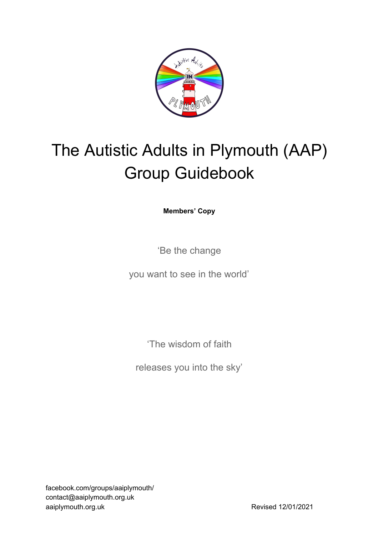

# The Autistic Adults in Plymouth (AAP) Group Guidebook

**Members' Copy**

'Be the change

you want to see in the world'

'The wisdom of faith

releases you into the sky'

facebook.com/groups/aaiplymouth/ contact@aaiplymouth.org.uk aaiplymouth.org.uk Revised 12/01/2021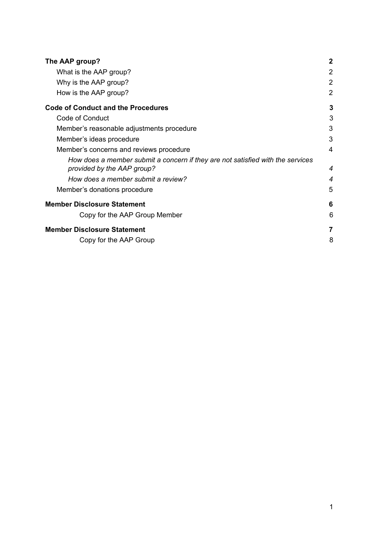| The AAP group?                                                                                               | $\mathbf 2$    |
|--------------------------------------------------------------------------------------------------------------|----------------|
| What is the AAP group?                                                                                       | 2              |
| Why is the AAP group?                                                                                        | 2              |
| How is the AAP group?                                                                                        | $\overline{2}$ |
| <b>Code of Conduct and the Procedures</b>                                                                    | 3              |
| Code of Conduct                                                                                              | 3              |
| Member's reasonable adjustments procedure                                                                    | 3              |
| Member's ideas procedure                                                                                     | 3              |
| Member's concerns and reviews procedure                                                                      | 4              |
| How does a member submit a concern if they are not satisfied with the services<br>provided by the AAP group? | 4              |
| How does a member submit a review?                                                                           | 4              |
| Member's donations procedure                                                                                 | 5              |
| <b>Member Disclosure Statement</b>                                                                           | 6              |
| Copy for the AAP Group Member                                                                                | 6              |
| <b>Member Disclosure Statement</b>                                                                           | 7              |
| Copy for the AAP Group                                                                                       | 8              |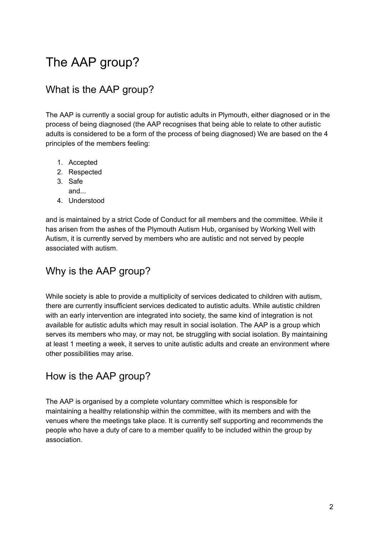# <span id="page-2-0"></span>The AAP group?

# <span id="page-2-1"></span>What is the AAP group?

The AAP is currently a social group for autistic adults in Plymouth, either diagnosed or in the process of being diagnosed (the AAP recognises that being able to relate to other autistic adults is considered to be a form of the process of being diagnosed) We are based on the 4 principles of the members feeling:

- 1. Accepted
- 2. Respected
- 3. Safe and...
	-
- 4. Understood

and is maintained by a strict Code of Conduct for all members and the committee. While it has arisen from the ashes of the Plymouth Autism Hub, organised by Working Well with Autism, it is currently served by members who are autistic and not served by people associated with autism.

# <span id="page-2-2"></span>Why is the AAP group?

While society is able to provide a multiplicity of services dedicated to children with autism, there are currently insufficient services dedicated to autistic adults. While autistic children with an early intervention are integrated into society, the same kind of integration is not available for autistic adults which may result in social isolation. The AAP is a group which serves its members who may, or may not, be struggling with social isolation. By maintaining at least 1 meeting a week, it serves to unite autistic adults and create an environment where other possibilities may arise.

## <span id="page-2-3"></span>How is the AAP group?

The AAP is organised by a complete voluntary committee which is responsible for maintaining a healthy relationship within the committee, with its members and with the venues where the meetings take place. It is currently self supporting and recommends the people who have a duty of care to a member qualify to be included within the group by association.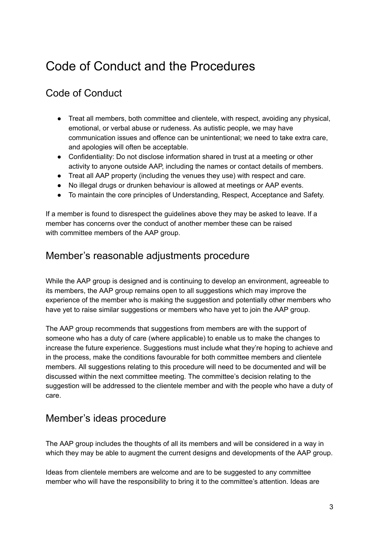# <span id="page-3-0"></span>Code of Conduct and the Procedures

# <span id="page-3-1"></span>Code of Conduct

- Treat all members, both committee and clientele, with respect, avoiding any physical, emotional, or verbal abuse or rudeness. As autistic people, we may have communication issues and offence can be unintentional; we need to take extra care, and apologies will often be acceptable.
- Confidentiality: Do not disclose information shared in trust at a meeting or other activity to anyone outside AAP, including the names or contact details of members.
- Treat all AAP property (including the venues they use) with respect and care.
- No illegal drugs or drunken behaviour is allowed at meetings or AAP events.
- To maintain the core principles of Understanding, Respect, Acceptance and Safety.

If a member is found to disrespect the guidelines above they may be asked to leave. If a member has concerns over the conduct of another member these can be raised with committee members of the AAP group.

#### <span id="page-3-2"></span>Member's reasonable adjustments procedure

While the AAP group is designed and is continuing to develop an environment, agreeable to its members, the AAP group remains open to all suggestions which may improve the experience of the member who is making the suggestion and potentially other members who have yet to raise similar suggestions or members who have yet to join the AAP group.

The AAP group recommends that suggestions from members are with the support of someone who has a duty of care (where applicable) to enable us to make the changes to increase the future experience. Suggestions must include what they're hoping to achieve and in the process, make the conditions favourable for both committee members and clientele members. All suggestions relating to this procedure will need to be documented and will be discussed within the next committee meeting. The committee's decision relating to the suggestion will be addressed to the clientele member and with the people who have a duty of care.

#### <span id="page-3-3"></span>Member's ideas procedure

The AAP group includes the thoughts of all its members and will be considered in a way in which they may be able to augment the current designs and developments of the AAP group.

Ideas from clientele members are welcome and are to be suggested to any committee member who will have the responsibility to bring it to the committee's attention. Ideas are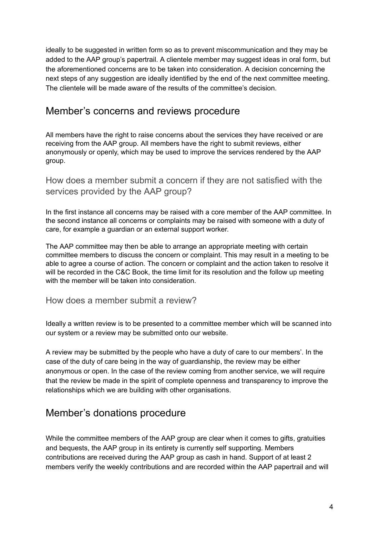ideally to be suggested in written form so as to prevent miscommunication and they may be added to the AAP group's papertrail. A clientele member may suggest ideas in oral form, but the aforementioned concerns are to be taken into consideration. A decision concerning the next steps of any suggestion are ideally identified by the end of the next committee meeting. The clientele will be made aware of the results of the committee's decision.

#### <span id="page-4-0"></span>Member's concerns and reviews procedure

All members have the right to raise concerns about the services they have received or are receiving from the AAP group. All members have the right to submit reviews, either anonymously or openly, which may be used to improve the services rendered by the AAP group.

<span id="page-4-1"></span>How does a member submit a concern if they are not satisfied with the services provided by the AAP group?

In the first instance all concerns may be raised with a core member of the AAP committee. In the second instance all concerns or complaints may be raised with someone with a duty of care, for example a guardian or an external support worker.

The AAP committee may then be able to arrange an appropriate meeting with certain committee members to discuss the concern or complaint. This may result in a meeting to be able to agree a course of action. The concern or complaint and the action taken to resolve it will be recorded in the C&C Book, the time limit for its resolution and the follow up meeting with the member will be taken into consideration.

<span id="page-4-2"></span>How does a member submit a review?

Ideally a written review is to be presented to a committee member which will be scanned into our system or a review may be submitted onto our website.

A review may be submitted by the people who have a duty of care to our members'. In the case of the duty of care being in the way of guardianship, the review may be either anonymous or open. In the case of the review coming from another service, we will require that the review be made in the spirit of complete openness and transparency to improve the relationships which we are building with other organisations.

## <span id="page-4-3"></span>Member's donations procedure

While the committee members of the AAP group are clear when it comes to gifts, gratuities and bequests, the AAP group in its entirety is currently self supporting. Members contributions are received during the AAP group as cash in hand. Support of at least 2 members verify the weekly contributions and are recorded within the AAP papertrail and will